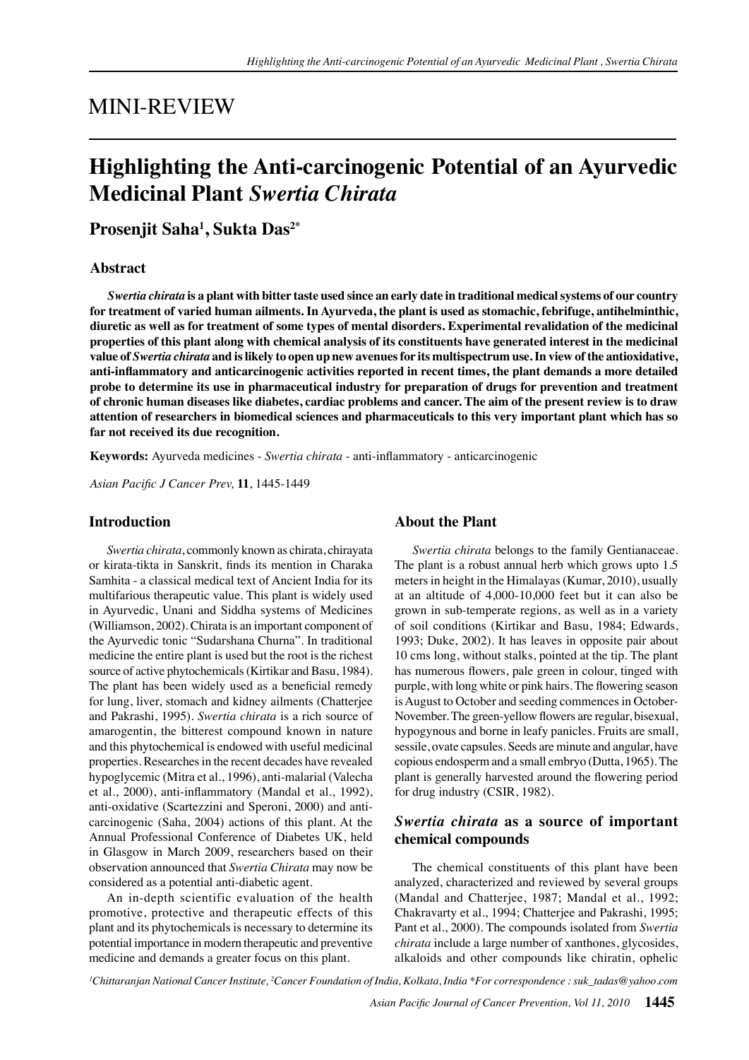## MINI-REVIEW

# **Highlighting the Anti-carcinogenic Potential of an Ayurvedic Medicinal Plant** *Swertia Chirata*

**Prosenjit Saha1 , Sukta Das2\***

#### **Abstract**

*Swertia chirata* **is a plant with bitter taste used since an early date in traditional medical systems of our country for treatment of varied human ailments. In Ayurveda, the plant is used as stomachic, febrifuge, antihelminthic, diuretic as well as for treatment of some types of mental disorders. Experimental revalidation of the medicinal properties of this plant along with chemical analysis of its constituents have generated interest in the medicinal value of** *Swertia chirata* **and is likely to open up new avenues for its multispectrum use. In view of the antioxidative, anti-inflammatory and anticarcinogenic activities reported in recent times, the plant demands a more detailed probe to determine its use in pharmaceutical industry for preparation of drugs for prevention and treatment of chronic human diseases like diabetes, cardiac problems and cancer. The aim of the present review is to draw attention of researchers in biomedical sciences and pharmaceuticals to this very important plant which has so far not received its due recognition.**

**Keywords:** Ayurveda medicines - *Swertia chirata* - anti-inflammatory - anticarcinogenic

*Asian Pacific J Cancer Prev,* **11**, 1445-1449

#### **Introduction**

*Swertia chirata*, commonly known as chirata, chirayata or kirata-tikta in Sanskrit, finds its mention in Charaka Samhita - a classical medical text of Ancient India for its multifarious therapeutic value. This plant is widely used in Ayurvedic, Unani and Siddha systems of Medicines (Williamson, 2002). Chirata is an important component of the Ayurvedic tonic "Sudarshana Churna". In traditional medicine the entire plant is used but the root is the richest source of active phytochemicals (Kirtikar and Basu, 1984). The plant has been widely used as a beneficial remedy for lung, liver, stomach and kidney ailments (Chatterjee and Pakrashi, 1995). *Swertia chirata* is a rich source of amarogentin, the bitterest compound known in nature and this phytochemical is endowed with useful medicinal properties. Researches in the recent decades have revealed hypoglycemic (Mitra et al., 1996), anti-malarial (Valecha et al., 2000), anti-inflammatory (Mandal et al., 1992), anti-oxidative (Scartezzini and Speroni, 2000) and anticarcinogenic (Saha, 2004) actions of this plant. At the Annual Professional Conference of Diabetes UK, held in Glasgow in March 2009, researchers based on their observation announced that *Swertia Chirata* may now be considered as a potential anti-diabetic agent.

An in-depth scientific evaluation of the health promotive, protective and therapeutic effects of this plant and its phytochemicals is necessary to determine its potential importance in modern therapeutic and preventive medicine and demands a greater focus on this plant.

## **About the Plant**

*Swertia chirata* belongs to the family Gentianaceae. The plant is a robust annual herb which grows upto 1.5 meters in height in the Himalayas (Kumar, 2010), usually at an altitude of 4,000-10,000 feet but it can also be grown in sub-temperate regions, as well as in a variety of soil conditions (Kirtikar and Basu, 1984; Edwards, 1993; Duke, 2002). It has leaves in opposite pair about 10 cms long, without stalks, pointed at the tip. The plant has numerous flowers, pale green in colour, tinged with purple, with long white or pink hairs. The flowering season is August to October and seeding commences in October-November. The green-yellow flowers are regular, bisexual, hypogynous and borne in leafy panicles. Fruits are small, sessile, ovate capsules. Seeds are minute and angular, have copious endosperm and a small embryo (Dutta, 1965). The plant is generally harvested around the flowering period for drug industry (CSIR, 1982).

## *Swertia chirata* **as a source of important chemical compounds**

The chemical constituents of this plant have been analyzed, characterized and reviewed by several groups (Mandal and Chatterjee, 1987; Mandal et al., 1992; Chakravarty et al., 1994; Chatterjee and Pakrashi, 1995; Pant et al., 2000). The compounds isolated from *Swertia chirata* include a large number of xanthones, glycosides, alkaloids and other compounds like chiratin, ophelic

*1 Chittaranjan National Cancer Institute, 2 Cancer Foundation of India, Kolkata, India \*For correspondence : suk\_tadas@yahoo.com*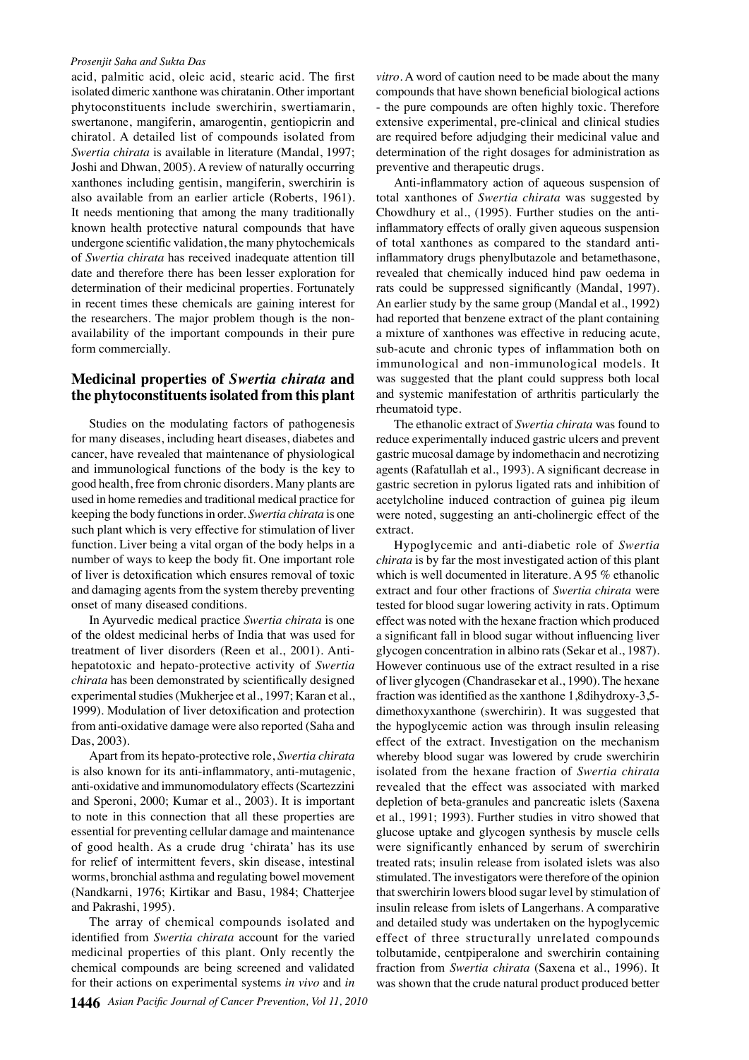#### *Prosenjit Saha and Sukta Das*

acid, palmitic acid, oleic acid, stearic acid. The first isolated dimeric xanthone was chiratanin. Other important phytoconstituents include swerchirin, swertiamarin, swertanone, mangiferin, amarogentin, gentiopicrin and chiratol. A detailed list of compounds isolated from *Swertia chirata* is available in literature (Mandal, 1997; Joshi and Dhwan, 2005). A review of naturally occurring xanthones including gentisin, mangiferin, swerchirin is also available from an earlier article (Roberts, 1961). It needs mentioning that among the many traditionally known health protective natural compounds that have undergone scientific validation, the many phytochemicals of *Swertia chirata* has received inadequate attention till date and therefore there has been lesser exploration for determination of their medicinal properties. Fortunately in recent times these chemicals are gaining interest for the researchers. The major problem though is the nonavailability of the important compounds in their pure form commercially.

## **Medicinal properties of** *Swertia chirata* **and the phytoconstituents isolated from this plant**

Studies on the modulating factors of pathogenesis for many diseases, including heart diseases, diabetes and cancer, have revealed that maintenance of physiological and immunological functions of the body is the key to good health, free from chronic disorders. Many plants are used in home remedies and traditional medical practice for keeping the body functions in order. *Swertia chirata* is one such plant which is very effective for stimulation of liver function. Liver being a vital organ of the body helps in a number of ways to keep the body fit. One important role of liver is detoxification which ensures removal of toxic and damaging agents from the system thereby preventing onset of many diseased conditions.

In Ayurvedic medical practice *Swertia chirata* is one of the oldest medicinal herbs of India that was used for treatment of liver disorders (Reen et al., 2001). Antihepatotoxic and hepato-protective activity of *Swertia chirata* has been demonstrated by scientifically designed experimental studies (Mukherjee et al., 1997; Karan et al., 1999). Modulation of liver detoxification and protection from anti-oxidative damage were also reported (Saha and Das, 2003).

Apart from its hepato-protective role, *Swertia chirata*  is also known for its anti-inflammatory, anti-mutagenic, anti-oxidative and immunomodulatory effects (Scartezzini and Speroni, 2000; Kumar et al., 2003). It is important to note in this connection that all these properties are essential for preventing cellular damage and maintenance of good health. As a crude drug 'chirata' has its use for relief of intermittent fevers, skin disease, intestinal worms, bronchial asthma and regulating bowel movement (Nandkarni, 1976; Kirtikar and Basu, 1984; Chatterjee and Pakrashi, 1995).

The array of chemical compounds isolated and identified from *Swertia chirata* account for the varied medicinal properties of this plant. Only recently the chemical compounds are being screened and validated for their actions on experimental systems *in vivo* and *in* 

*vitro*. A word of caution need to be made about the many compounds that have shown beneficial biological actions - the pure compounds are often highly toxic. Therefore extensive experimental, pre-clinical and clinical studies are required before adjudging their medicinal value and determination of the right dosages for administration as preventive and therapeutic drugs.

Anti-inflammatory action of aqueous suspension of total xanthones of *Swertia chirata* was suggested by Chowdhury et al., (1995). Further studies on the antiinflammatory effects of orally given aqueous suspension of total xanthones as compared to the standard antiinflammatory drugs phenylbutazole and betamethasone, revealed that chemically induced hind paw oedema in rats could be suppressed significantly (Mandal, 1997). An earlier study by the same group (Mandal et al., 1992) had reported that benzene extract of the plant containing a mixture of xanthones was effective in reducing acute, sub-acute and chronic types of inflammation both on immunological and non-immunological models. It was suggested that the plant could suppress both local and systemic manifestation of arthritis particularly the rheumatoid type.

The ethanolic extract of *Swertia chirata* was found to reduce experimentally induced gastric ulcers and prevent gastric mucosal damage by indomethacin and necrotizing agents (Rafatullah et al., 1993). A significant decrease in gastric secretion in pylorus ligated rats and inhibition of acetylcholine induced contraction of guinea pig ileum were noted, suggesting an anti-cholinergic effect of the extract.

Hypoglycemic and anti-diabetic role of *Swertia chirata* is by far the most investigated action of this plant which is well documented in literature. A 95 % ethanolic extract and four other fractions of *Swertia chirata* were tested for blood sugar lowering activity in rats. Optimum effect was noted with the hexane fraction which produced a significant fall in blood sugar without influencing liver glycogen concentration in albino rats (Sekar et al., 1987). However continuous use of the extract resulted in a rise of liver glycogen (Chandrasekar et al., 1990). The hexane fraction was identified as the xanthone 1,8dihydroxy-3,5 dimethoxyxanthone (swerchirin). It was suggested that the hypoglycemic action was through insulin releasing effect of the extract. Investigation on the mechanism whereby blood sugar was lowered by crude swerchirin isolated from the hexane fraction of *Swertia chirata* revealed that the effect was associated with marked depletion of beta-granules and pancreatic islets (Saxena et al., 1991; 1993). Further studies in vitro showed that glucose uptake and glycogen synthesis by muscle cells were significantly enhanced by serum of swerchirin treated rats; insulin release from isolated islets was also stimulated. The investigators were therefore of the opinion that swerchirin lowers blood sugar level by stimulation of insulin release from islets of Langerhans. A comparative and detailed study was undertaken on the hypoglycemic effect of three structurally unrelated compounds tolbutamide, centpiperalone and swerchirin containing fraction from *Swertia chirata* (Saxena et al., 1996). It was shown that the crude natural product produced better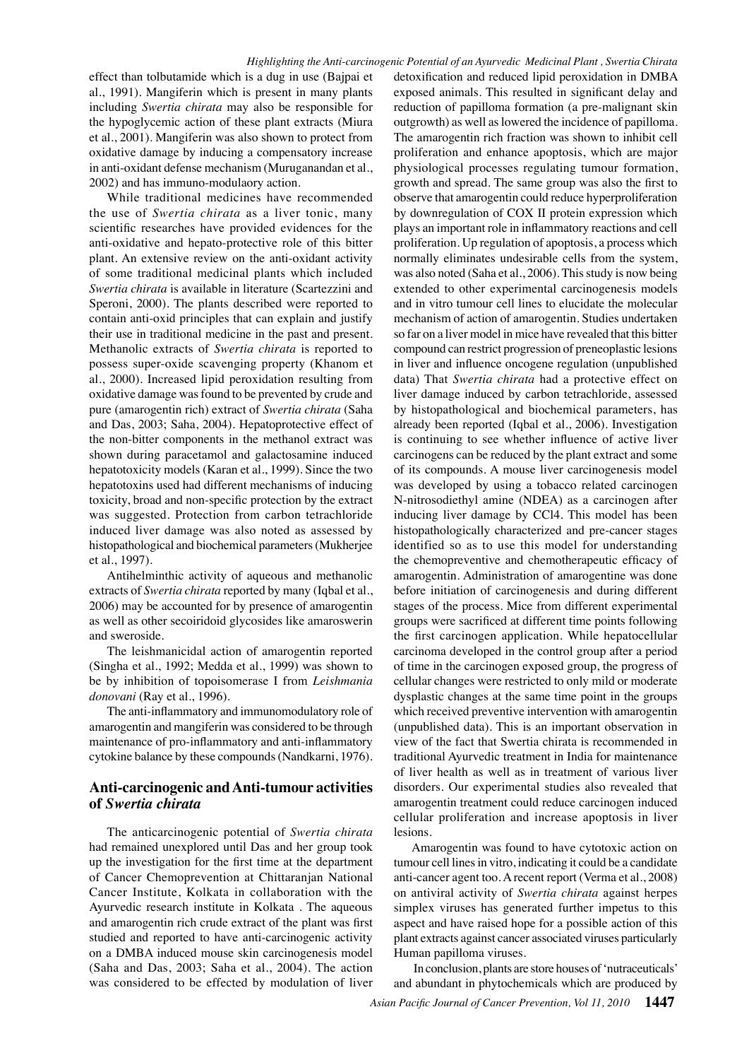effect than tolbutamide which is a dug in use (Bajpai et al., 1991). Mangiferin which is present in many plants including *Swertia chirata* may also be responsible for the hypoglycemic action of these plant extracts (Miura et al., 2001). Mangiferin was also shown to protect from oxidative damage by inducing a compensatory increase in anti-oxidant defense mechanism (Muruganandan et al., 2002) and has immuno-modulaory action.

While traditional medicines have recommended the use of *Swertia chirata* as a liver tonic, many scientific researches have provided evidences for the anti-oxidative and hepato-protective role of this bitter plant. An extensive review on the anti-oxidant activity of some traditional medicinal plants which included *Swertia chirata* is available in literature (Scartezzini and Speroni, 2000). The plants described were reported to contain anti-oxid principles that can explain and justify their use in traditional medicine in the past and present. Methanolic extracts of *Swertia chirata* is reported to possess super-oxide scavenging property (Khanom et al., 2000). Increased lipid peroxidation resulting from oxidative damage was found to be prevented by crude and pure (amarogentin rich) extract of *Swertia chirata* (Saha and Das, 2003; Saha, 2004). Hepatoprotective effect of the non-bitter components in the methanol extract was shown during paracetamol and galactosamine induced hepatotoxicity models (Karan et al., 1999). Since the two hepatotoxins used had different mechanisms of inducing toxicity, broad and non-specific protection by the extract was suggested. Protection from carbon tetrachloride induced liver damage was also noted as assessed by histopathological and biochemical parameters (Mukherjee et al., 1997).

Antihelminthic activity of aqueous and methanolic extracts of *Swertia chirata* reported by many (Iqbal et al., 2006) may be accounted for by presence of amarogentin as well as other secoiridoid glycosides like amaroswerin and sweroside.

The leishmanicidal action of amarogentin reported (Singha et al., 1992; Medda et al., 1999) was shown to be by inhibition of topoisomerase I from *Leishmania donovani* (Ray et al., 1996).

The anti-inflammatory and immunomodulatory role of amarogentin and mangiferin was considered to be through maintenance of pro-inflammatory and anti-inflammatory cytokine balance by these compounds (Nandkarni, 1976).

## **Anti-carcinogenic and Anti-tumour activities of** *Swertia chirata*

The anticarcinogenic potential of *Swertia chirata*  had remained unexplored until Das and her group took up the investigation for the first time at the department of Cancer Chemoprevention at Chittaranjan National Cancer Institute, Kolkata in collaboration with the Ayurvedic research institute in Kolkata . The aqueous and amarogentin rich crude extract of the plant was first studied and reported to have anti-carcinogenic activity on a DMBA induced mouse skin carcinogenesis model (Saha and Das, 2003; Saha et al., 2004). The action was considered to be effected by modulation of liver

histopathologically characterized and pre-cancer stages 25.0 was developed by using a tobacco related carcinogen 50.0 75.0 data) That *Swertia chirata* had a protective effect on100.0 detoxification and reduced lipid peroxidation in DMBA exposed animals. This resulted in significant delay and reduction of papilloma formation (a pre-malignant skin outgrowth) as well as lowered the incidence of papilloma. The amarogentin rich fraction was shown to inhibit cell proliferation and enhance apoptosis, which are major physiological processes regulating tumour formation, growth and spread. The same group was also the first to observe that amarogentin could reduce hyperproliferation by downregulation of COX II protein expression which plays an important role in inflammatory reactions and cell proliferation. Up regulation of apoptosis, a process which normally eliminates undesirable cells from the system, was also noted (Saha et al., 2006). This study is now being extended to other experimental carcinogenesis models and in vitro tumour cell lines to elucidate the molecular mechanism of action of amarogentin. Studies undertaken so far on a liver model in mice have revealed that this bitter compound can restrict progression of preneoplastic lesions in liver and influence oncogene regulation (unpublished liver damage induced by carbon tetrachloride, assessed by histopathological and biochemical parameters, has already been reported (Iqbal et al., 2006). Investigation is continuing to see whether influence of active liver carcinogens can be reduced by the plant extract and some of its compounds. A mouse liver carcinogenesis model N-nitrosodiethyl amine (NDEA) as a carcinogen after inducing liver damage by CCl4. This model has been identified so as to use this model for understanding the chemopreventive and chemotherapeutic efficacy of amarogentin. Administration of amarogentine was done before initiation of carcinogenesis and during different stages of the process. Mice from different experimental groups were sacrificed at different time points following the first carcinogen application. While hepatocellular carcinoma developed in the control group after a period of time in the carcinogen exposed group, the progress of cellular changes were restricted to only mild or moderate dysplastic changes at the same time point in the groups which received preventive intervention with amarogentin (unpublished data). This is an important observation in view of the fact that Swertia chirata is recommended in traditional Ayurvedic treatment in India for maintenance of liver health as well as in treatment of various liver disorders. Our experimental studies also revealed that amarogentin treatment could reduce carcinogen induced cellular proliferation and increase apoptosis in liver lesions.

Amarogentin was found to have cytotoxic action on tumour cell lines in vitro, indicating it could be a candidate anti-cancer agent too. A recent report (Verma et al., 2008) on antiviral activity of *Swertia chirata* against herpes simplex viruses has generated further impetus to this aspect and have raised hope for a possible action of this plant extracts against cancer associated viruses particularly Human papilloma viruses.

 In conclusion, plants are store houses of 'nutraceuticals' and abundant in phytochemicals which are produced by **20.3 6.3 10.1**

**46.8 56.3**

**38.0 31.3**

0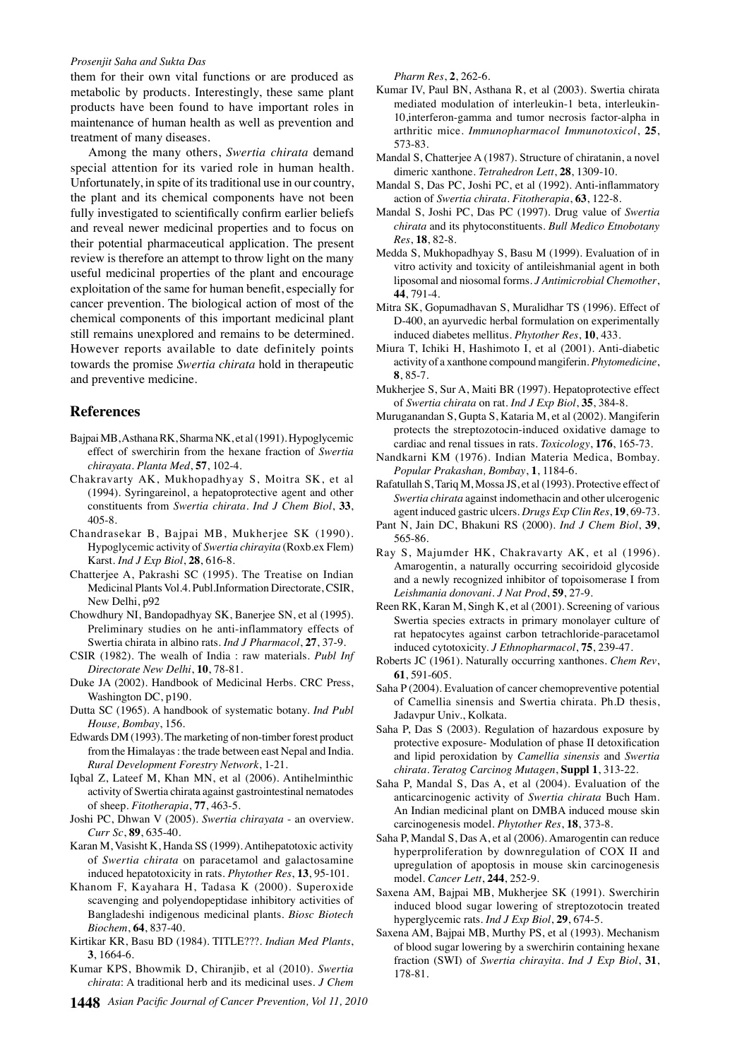#### *Prosenjit Saha and Sukta Das*

them for their own vital functions or are produced as metabolic by products. Interestingly, these same plant products have been found to have important roles in maintenance of human health as well as prevention and treatment of many diseases.

Among the many others, *Swertia chirata* demand special attention for its varied role in human health. Unfortunately, in spite of its traditional use in our country, the plant and its chemical components have not been fully investigated to scientifically confirm earlier beliefs and reveal newer medicinal properties and to focus on their potential pharmaceutical application. The present review is therefore an attempt to throw light on the many useful medicinal properties of the plant and encourage exploitation of the same for human benefit, especially for cancer prevention. The biological action of most of the chemical components of this important medicinal plant still remains unexplored and remains to be determined. However reports available to date definitely points towards the promise *Swertia chirata* hold in therapeutic and preventive medicine.

#### **References**

- Bajpai MB, Asthana RK, Sharma NK, et al (1991). Hypoglycemic effect of swerchirin from the hexane fraction of *Swertia chirayata*. *Planta Med*, **57**, 102-4.
- Chakravarty AK, Mukhopadhyay S, Moitra SK, et al (1994). Syringareinol, a hepatoprotective agent and other constituents from *Swertia chirata*. *Ind J Chem Biol*, **33**, 405-8.
- Chandrasekar B, Bajpai MB, Mukherjee SK (1990). Hypoglycemic activity of *Swertia chirayita* (Roxb.ex Flem) Karst. *Ind J Exp Biol*, **28**, 616-8.
- Chatterjee A, Pakrashi SC (1995). The Treatise on Indian Medicinal Plants Vol.4. Publ.Information Directorate, CSIR, New Delhi, p92
- Chowdhury NI, Bandopadhyay SK, Banerjee SN, et al (1995). Preliminary studies on he anti-inflammatory effects of Swertia chirata in albino rats. *Ind J Pharmacol*, **27**, 37-9.
- CSIR (1982). The wealh of India : raw materials. *Publ Inf Directorate New Delhi*, **10**, 78-81.
- Duke JA (2002). Handbook of Medicinal Herbs. CRC Press, Washington DC, p190.
- Dutta SC (1965). A handbook of systematic botany. *Ind Publ House, Bombay*, 156.
- Edwards DM (1993). The marketing of non-timber forest product from the Himalayas : the trade between east Nepal and India. *Rural Development Forestry Network*, 1-21.
- Iqbal Z, Lateef M, Khan MN, et al (2006). Antihelminthic activity of Swertia chirata against gastrointestinal nematodes of sheep. *Fitotherapia*, **77**, 463-5.
- Joshi PC, Dhwan V (2005). *Swertia chirayata* an overview. *Curr Sc*, **89**, 635-40.
- Karan M, Vasisht K, Handa SS (1999). Antihepatotoxic activity of *Swertia chirata* on paracetamol and galactosamine induced hepatotoxicity in rats. *Phytother Res*, **13**, 95-101.
- Khanom F, Kayahara H, Tadasa K (2000). Superoxide scavenging and polyendopeptidase inhibitory activities of Bangladeshi indigenous medicinal plants. *Biosc Biotech Biochem*, **64**, 837-40.
- Kirtikar KR, Basu BD (1984). TITLE???. *Indian Med Plants*, **3**, 1664-6.
- Kumar KPS, Bhowmik D, Chiranjib, et al (2010). *Swertia chirata*: A traditional herb and its medicinal uses. *J Chem*
- **1448** *Asian Pacific Journal of Cancer Prevention, Vol 11, 2010*

*Pharm Res*, **2**, 262-6.

- Kumar IV, Paul BN, Asthana R, et al (2003). Swertia chirata mediated modulation of interleukin-1 beta, interleukin-10,interferon-gamma and tumor necrosis factor-alpha in arthritic mice. *Immunopharmacol Immunotoxicol*, **25**, 573-83.
- Mandal S, Chatterjee A (1987). Structure of chiratanin, a novel dimeric xanthone. *Tetrahedron Lett*, **28**, 1309-10.
- Mandal S, Das PC, Joshi PC, et al (1992). Anti-inflammatory action of *Swertia chirata*. *Fitotherapia*, **63**, 122-8.
- Mandal S, Joshi PC, Das PC (1997). Drug value of *Swertia chirata* and its phytoconstituents. *Bull Medico Etnobotany Res*, **18**, 82-8.
- Medda S, Mukhopadhyay S, Basu M (1999). Evaluation of in vitro activity and toxicity of antileishmanial agent in both liposomal and niosomal forms. *J Antimicrobial Chemother*, **44**, 791-4.
- Mitra SK, Gopumadhavan S, Muralidhar TS (1996). Effect of D-400, an ayurvedic herbal formulation on experimentally induced diabetes mellitus. *Phytother Res*, **10**, 433.
- Miura T, Ichiki H, Hashimoto I, et al (2001). Anti-diabetic activity of a xanthone compound mangiferin. *Phytomedicine*, **8**, 85-7.
- Mukherjee S, Sur A, Maiti BR (1997). Hepatoprotective effect of *Swertia chirata* on rat. *Ind J Exp Biol*, **35**, 384-8.
- Muruganandan S, Gupta S, Kataria M, et al (2002). Mangiferin protects the streptozotocin-induced oxidative damage to cardiac and renal tissues in rats. *Toxicology*, **176**, 165-73.
- Nandkarni KM (1976). Indian Materia Medica, Bombay. *Popular Prakashan, Bombay*, **1**, 1184-6.
- Rafatullah S, Tariq M, Mossa JS, et al (1993). Protective effect of *Swertia chirata* against indomethacin and other ulcerogenic agent induced gastric ulcers. *Drugs Exp Clin Res*, **19**, 69-73.
- Pant N, Jain DC, Bhakuni RS (2000). *Ind J Chem Biol*, **39**, 565-86.
- Ray S, Majumder HK, Chakravarty AK, et al (1996). Amarogentin, a naturally occurring secoiridoid glycoside and a newly recognized inhibitor of topoisomerase I from *Leishmania donovani*. *J Nat Prod*, **59**, 27-9.
- Reen RK, Karan M, Singh K, et al (2001). Screening of various Swertia species extracts in primary monolayer culture of rat hepatocytes against carbon tetrachloride-paracetamol induced cytotoxicity. *J Ethnopharmacol*, **75**, 239-47.
- Roberts JC (1961). Naturally occurring xanthones. *Chem Rev*, **61**, 591-605.
- Saha P (2004). Evaluation of cancer chemopreventive potential of Camellia sinensis and Swertia chirata. Ph.D thesis, Jadavpur Univ., Kolkata.
- Saha P, Das S (2003). Regulation of hazardous exposure by protective exposure- Modulation of phase II detoxification and lipid peroxidation by *Camellia sinensis* and *Swertia chirata*. *Teratog Carcinog Mutagen*, **Suppl 1**, 313-22.
- Saha P, Mandal S, Das A, et al (2004). Evaluation of the anticarcinogenic activity of *Swertia chirata* Buch Ham. An Indian medicinal plant on DMBA induced mouse skin carcinogenesis model. *Phytother Res*, **18**, 373-8.
- Saha P, Mandal S, Das A, et al (2006). Amarogentin can reduce hyperproliferation by downregulation of COX II and upregulation of apoptosis in mouse skin carcinogenesis model. *Cancer Lett*, **244**, 252-9.
- Saxena AM, Bajpai MB, Mukherjee SK (1991). Swerchirin induced blood sugar lowering of streptozotocin treated hyperglycemic rats. *Ind J Exp Biol*, **29**, 674-5.
- Saxena AM, Bajpai MB, Murthy PS, et al (1993). Mechanism of blood sugar lowering by a swerchirin containing hexane fraction (SWI) of *Swertia chirayita*. *Ind J Exp Biol*, **31**, 178-81.